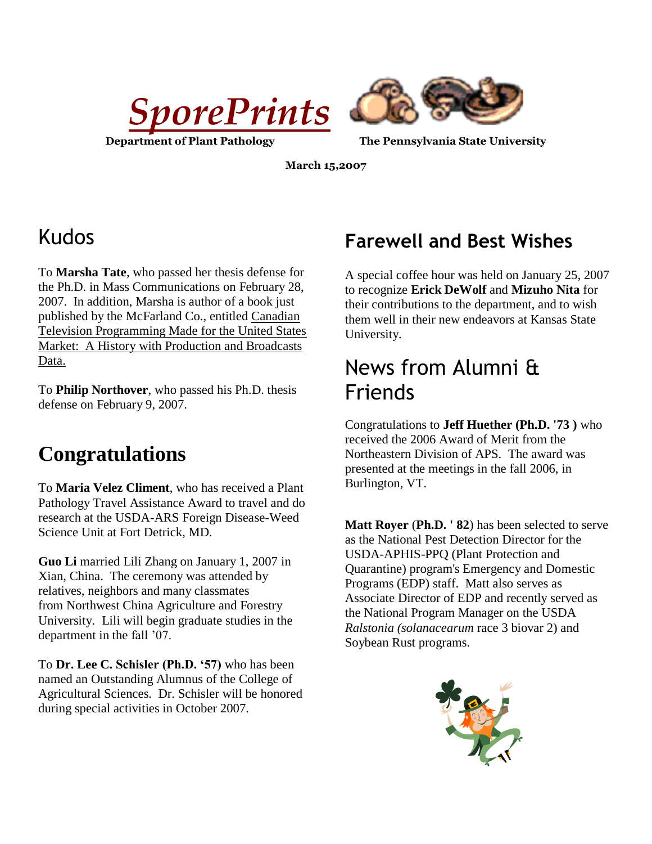



**Department of Plant Pathology The Pennsylvania State University**

**March 15,2007**

# Kudos

To **Marsha Tate**, who passed her thesis defense for the Ph.D. in Mass Communications on February 28, 2007. In addition, Marsha is author of a book just published by the McFarland Co., entitled Canadian Television Programming Made for the United States Market: A History with Production and Broadcasts Data.

To **Philip Northover**, who passed his Ph.D. thesis defense on February 9, 2007.

# **Congratulations**

To **Maria Velez Climent**, who has received a Plant Pathology Travel Assistance Award to travel and do research at the USDA-ARS Foreign Disease-Weed Science Unit at Fort Detrick, MD.

**Guo Li** married Lili Zhang on January 1, 2007 in Xian, China. The ceremony was attended by relatives, neighbors and many classmates from Northwest China Agriculture and Forestry University. Lili will begin graduate studies in the department in the fall '07.

To **Dr. Lee C. Schisler (Ph.D. '57)** who has been named an Outstanding Alumnus of the College of Agricultural Sciences. Dr. Schisler will be honored during special activities in October 2007.

#### **Farewell and Best Wishes**

A special coffee hour was held on January 25, 2007 to recognize **Erick DeWolf** and **Mizuho Nita** for their contributions to the department, and to wish them well in their new endeavors at Kansas State University.

# News from Alumni & Friends

Congratulations to **Jeff Huether (Ph.D. '73 )** who received the 2006 Award of Merit from the Northeastern Division of APS. The award was presented at the meetings in the fall 2006, in Burlington, VT.

**Matt Royer** (**Ph.D. ' 82**) has been selected to serve as the National Pest Detection Director for the USDA-APHIS-PPQ (Plant Protection and Quarantine) program's Emergency and Domestic Programs (EDP) staff. Matt also serves as Associate Director of EDP and recently served as the National Program Manager on the USDA *Ralstonia (solanacearum* race 3 biovar 2) and Soybean Rust programs.